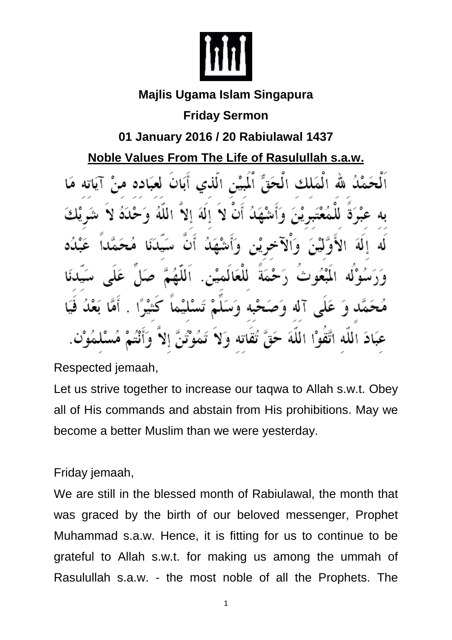

## **Majlis Ugama Islam Singapura**

## **Friday Sermon**

## **01 January 2016 / 20 Rabiulawal 1437**

## **Noble Values From The Life of Rasulullah s.a.w.**

الْهَلْكِ الْحَقِّ الْمِيْنِ الَّذِي أَيَانَ لَعِبَادِهِ مِ á۱ Ŋ للعَه aJ T نيه وند ٥ الملة بادَ الله اتَّقوْا ٧q تقاته

Respected jemaah,

Let us strive together to increase our taqwa to Allah s.w.t. Obey all of His commands and abstain from His prohibitions. May we become a better Muslim than we were yesterday.

Friday jemaah,

We are still in the blessed month of Rabiulawal, the month that was graced by the birth of our beloved messenger, Prophet Muhammad s.a.w. Hence, it is fitting for us to continue to be grateful to Allah s.w.t. for making us among the ummah of Rasulullah s.a.w. - the most noble of all the Prophets. The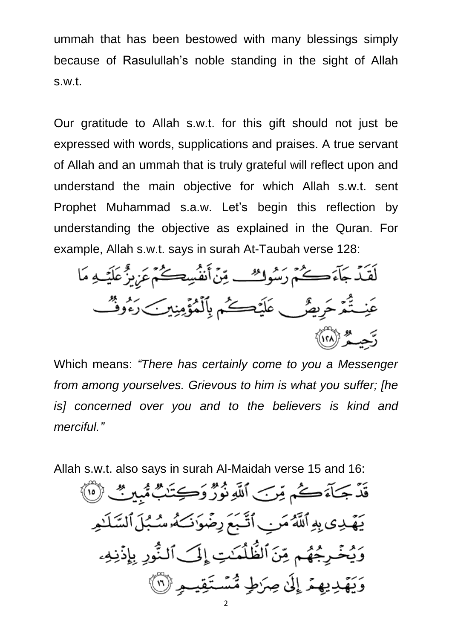ummah that has been bestowed with many blessings simply because of Rasulullah's noble standing in the sight of Allah s.w.t.

Our gratitude to Allah s.w.t. for this gift should not just be expressed with words, supplications and praises. A true servant of Allah and an ummah that is truly grateful will reflect upon and understand the main objective for which Allah s.w.t. sent Prophet Muhammad s.a.w. Let's begin this reflection by understanding the objective as explained in the Quran. For example, Allah s.w.t. says in surah At-Taubah verse 128:

لَقَيْدَ جَآءَ ڪُمُ رَسُوكُ تِينَ أَنفُسِڪُمْ عَرْبِزُّ عَلَيْـهِ مَا عَنِـتُّمَرَ حَرِيضٌ ۖ عَلَيۡتَكُمۡمٖ بِٱلۡمُؤۡمِنِينَ رَءُوشُ رَّحِيــَمُّرْ (١٢٨)

Which means: *"There has certainly come to you a Messenger from among yourselves. Grievous to him is what you suffer; [he is] concerned over you and to the believers is kind and merciful."*

Allah s.w.t. also says in surah Al-Maidah verse 15 and 16:

قَدْ جَمَآءَكُمْ مِّرَبَ ٱللَّهِ نُورٌ وَكِتَنَبٌ مُّبِينٌ ۚ إِنَّا ﴾ يَهَّدِى بِهِ ٱللَّهُ مَنِ ٱتَّبَعَ رِضَوَٰنَ َهُ شُبُلَ ٱلسَّلَٰدِ وَيُخۡرِجُهُم مِّنَ ٱلظُّلُمَـٰتِ إِلَى ٱلنُّورِ بِإِذۡنِهِۦ وَيَهْدِيهِمْ إِلَىٰ صِرَطٍ مُّسْتَقِيدٍ ۚ (١)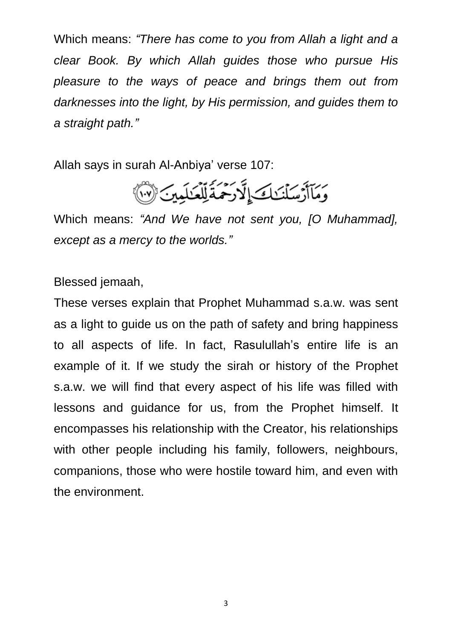Which means: *"There has come to you from Allah a light and a clear Book. By which Allah guides those who pursue His pleasure to the ways of peace and brings them out from darknesses into the light, by His permission, and guides them to a straight path."*

Allah says in surah Al-Anbiya' verse 107:



Which means: *"And We have not sent you, [O Muhammad], except as a mercy to the worlds."*

Blessed jemaah,

These verses explain that Prophet Muhammad s.a.w. was sent as a light to guide us on the path of safety and bring happiness to all aspects of life. In fact, Rasulullah's entire life is an example of it. If we study the sirah or history of the Prophet s.a.w. we will find that every aspect of his life was filled with lessons and guidance for us, from the Prophet himself. It encompasses his relationship with the Creator, his relationships with other people including his family, followers, neighbours, companions, those who were hostile toward him, and even with the environment.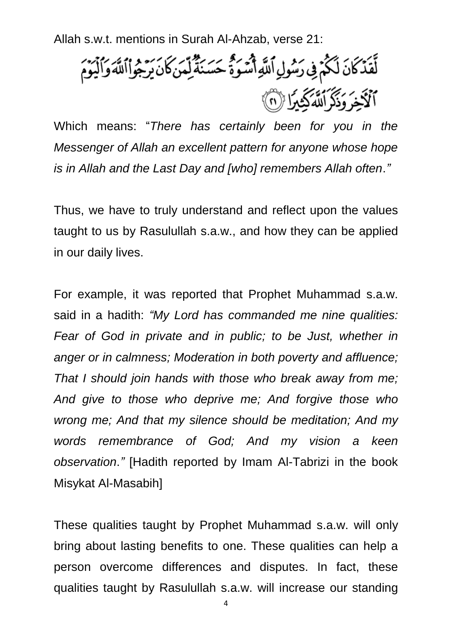Allah s.w.t. mentions in Surah Al-Ahzab, verse 21:

لَّقَدَّكَانَ لَكُمْ فِي رَسُولِ ٱللَّهِ أَسُوَةً حَسَنَةً لِمَنْكَانَ يَرْجُواْٱللَّهَ وَٱلْيَوْمَ مُوَكِّدِ مُرْكَزُونَ مُنْ يَجْرِيَّا (١)

Which means: "*There has certainly been for you in the Messenger of Allah an excellent pattern for anyone whose hope is in Allah and the Last Day and [who] remembers Allah often*.*"*

Thus, we have to truly understand and reflect upon the values taught to us by Rasulullah s.a.w., and how they can be applied in our daily lives.

For example, it was reported that Prophet Muhammad s.a.w. said in a hadith: *"My Lord has commanded me nine qualities: Fear of God in private and in public; to be Just, whether in anger or in calmness; Moderation in both poverty and affluence; That I should join hands with those who break away from me; And give to those who deprive me; And forgive those who wrong me; And that my silence should be meditation; And my words remembrance of God; And my vision a keen observation*.*"* [Hadith reported by Imam Al-Tabrizi in the book Misykat Al-Masabih]

These qualities taught by Prophet Muhammad s.a.w. will only bring about lasting benefits to one. These qualities can help a person overcome differences and disputes. In fact, these qualities taught by Rasulullah s.a.w. will increase our standing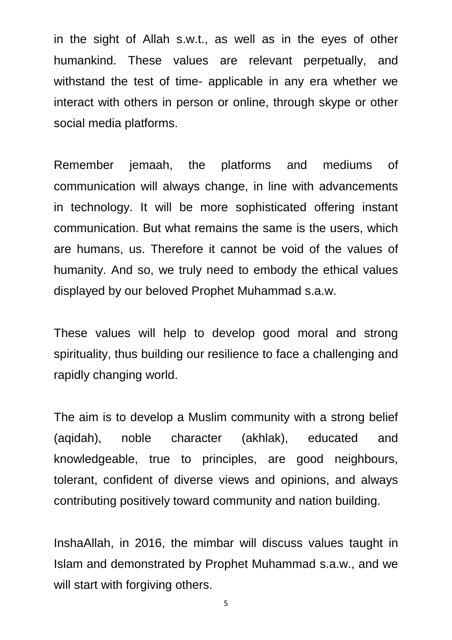in the sight of Allah s.w.t., as well as in the eyes of other humankind. These values are relevant perpetually, and withstand the test of time- applicable in any era whether we interact with others in person or online, through skype or other social media platforms.

Remember jemaah, the platforms and mediums of communication will always change, in line with advancements in technology. It will be more sophisticated offering instant communication. But what remains the same is the users, which are humans, us. Therefore it cannot be void of the values of humanity. And so, we truly need to embody the ethical values displayed by our beloved Prophet Muhammad s.a.w.

These values will help to develop good moral and strong spirituality, thus building our resilience to face a challenging and rapidly changing world.

The aim is to develop a Muslim community with a strong belief (aqidah), noble character (akhlak), educated and knowledgeable, true to principles, are good neighbours, tolerant, confident of diverse views and opinions, and always contributing positively toward community and nation building.

InshaAllah, in 2016, the mimbar will discuss values taught in Islam and demonstrated by Prophet Muhammad s.a.w., and we will start with forgiving others.

5